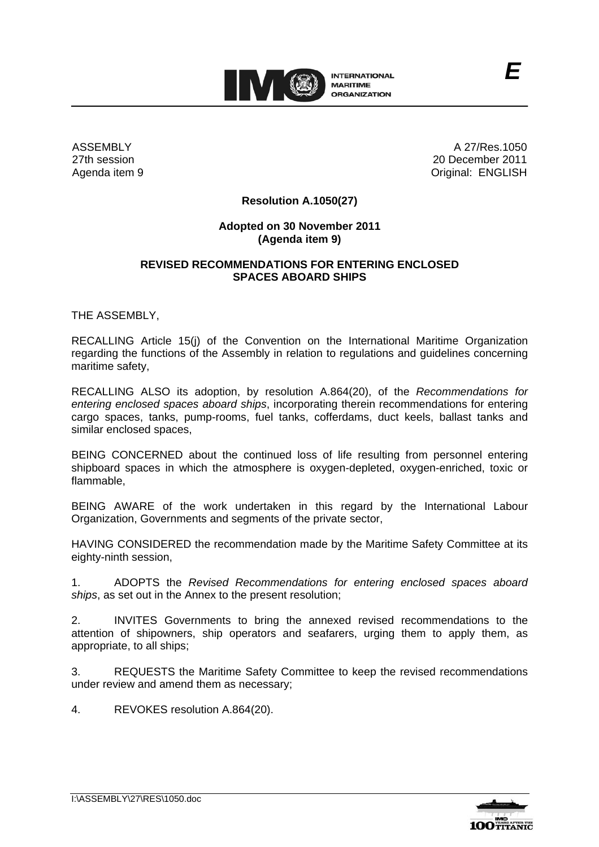

ASSEMBLY 27th session Agenda item 9

A 27/Res.1050 20 December 2011 Original: ENGLISH

*E*

## **Resolution A.1050(27)**

## **Adopted on 30 November 2011 (Agenda item 9)**

## **REVISED RECOMMENDATIONS FOR ENTERING ENCLOSED SPACES ABOARD SHIPS**

THE ASSEMBLY,

RECALLING Article 15(j) of the Convention on the International Maritime Organization regarding the functions of the Assembly in relation to regulations and guidelines concerning maritime safety,

RECALLING ALSO its adoption, by resolution A.864(20), of the *Recommendations for entering enclosed spaces aboard ships*, incorporating therein recommendations for entering cargo spaces, tanks, pump-rooms, fuel tanks, cofferdams, duct keels, ballast tanks and similar enclosed spaces,

BEING CONCERNED about the continued loss of life resulting from personnel entering shipboard spaces in which the atmosphere is oxygen-depleted, oxygen-enriched, toxic or flammable,

BEING AWARE of the work undertaken in this regard by the International Labour Organization, Governments and segments of the private sector,

HAVING CONSIDERED the recommendation made by the Maritime Safety Committee at its eighty-ninth session,

1. ADOPTS the *Revised Recommendations for entering enclosed spaces aboard ships*, as set out in the Annex to the present resolution;

2. INVITES Governments to bring the annexed revised recommendations to the attention of shipowners, ship operators and seafarers, urging them to apply them, as appropriate, to all ships;

3. REQUESTS the Maritime Safety Committee to keep the revised recommendations under review and amend them as necessary;

4. REVOKES resolution A.864(20).

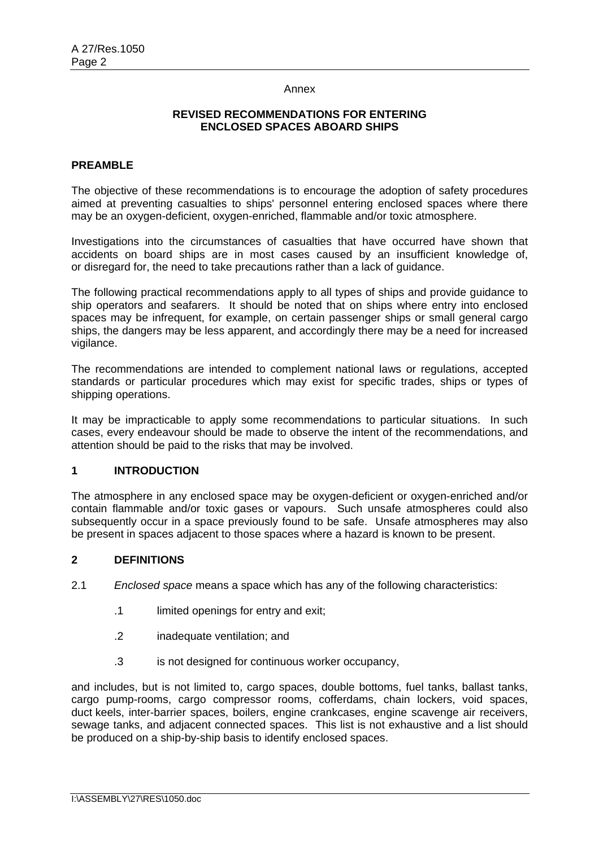#### Annex

### **REVISED RECOMMENDATIONS FOR ENTERING ENCLOSED SPACES ABOARD SHIPS**

### **PREAMBLE**

The objective of these recommendations is to encourage the adoption of safety procedures aimed at preventing casualties to ships' personnel entering enclosed spaces where there may be an oxygen-deficient, oxygen-enriched, flammable and/or toxic atmosphere.

Investigations into the circumstances of casualties that have occurred have shown that accidents on board ships are in most cases caused by an insufficient knowledge of, or disregard for, the need to take precautions rather than a lack of guidance.

The following practical recommendations apply to all types of ships and provide guidance to ship operators and seafarers. It should be noted that on ships where entry into enclosed spaces may be infrequent, for example, on certain passenger ships or small general cargo ships, the dangers may be less apparent, and accordingly there may be a need for increased vigilance.

The recommendations are intended to complement national laws or regulations, accepted standards or particular procedures which may exist for specific trades, ships or types of shipping operations.

It may be impracticable to apply some recommendations to particular situations. In such cases, every endeavour should be made to observe the intent of the recommendations, and attention should be paid to the risks that may be involved.

### **1 INTRODUCTION**

The atmosphere in any enclosed space may be oxygen-deficient or oxygen-enriched and/or contain flammable and/or toxic gases or vapours. Such unsafe atmospheres could also subsequently occur in a space previously found to be safe. Unsafe atmospheres may also be present in spaces adjacent to those spaces where a hazard is known to be present.

## **2 DEFINITIONS**

- 2.1 *Enclosed space* means a space which has any of the following characteristics:
	- .1 limited openings for entry and exit;
	- .2 inadequate ventilation; and
	- .3 is not designed for continuous worker occupancy,

and includes, but is not limited to, cargo spaces, double bottoms, fuel tanks, ballast tanks, cargo pump-rooms, cargo compressor rooms, cofferdams, chain lockers, void spaces, duct keels, inter-barrier spaces, boilers, engine crankcases, engine scavenge air receivers, sewage tanks, and adjacent connected spaces. This list is not exhaustive and a list should be produced on a ship-by-ship basis to identify enclosed spaces.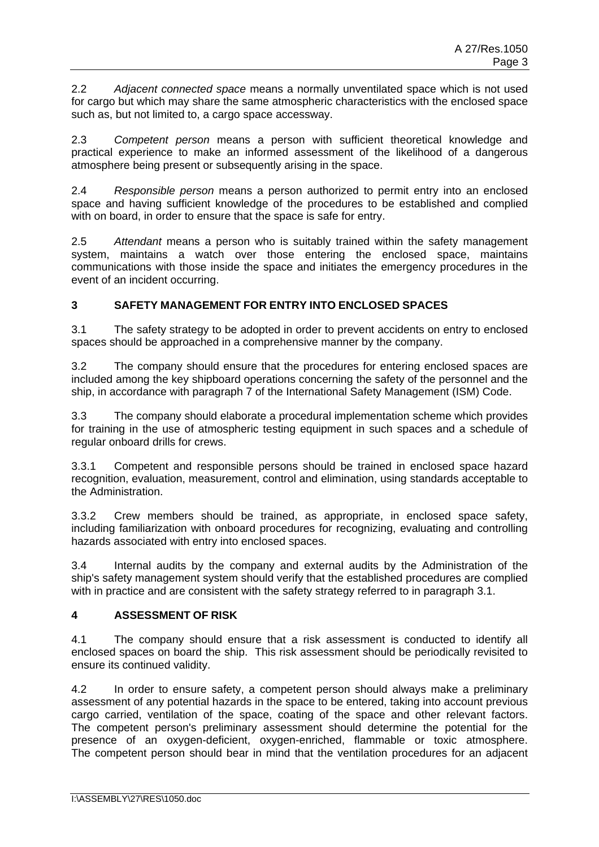2.2 *Adjacent connected space* means a normally unventilated space which is not used for cargo but which may share the same atmospheric characteristics with the enclosed space such as, but not limited to, a cargo space accessway.

2.3 *Competent person* means a person with sufficient theoretical knowledge and practical experience to make an informed assessment of the likelihood of a dangerous atmosphere being present or subsequently arising in the space.

2.4 *Responsible person* means a person authorized to permit entry into an enclosed space and having sufficient knowledge of the procedures to be established and complied with on board, in order to ensure that the space is safe for entry.

2.5 *Attendant* means a person who is suitably trained within the safety management system, maintains a watch over those entering the enclosed space, maintains communications with those inside the space and initiates the emergency procedures in the event of an incident occurring.

# **3 SAFETY MANAGEMENT FOR ENTRY INTO ENCLOSED SPACES**

3.1 The safety strategy to be adopted in order to prevent accidents on entry to enclosed spaces should be approached in a comprehensive manner by the company.

3.2 The company should ensure that the procedures for entering enclosed spaces are included among the key shipboard operations concerning the safety of the personnel and the ship, in accordance with paragraph 7 of the International Safety Management (ISM) Code.

3.3 The company should elaborate a procedural implementation scheme which provides for training in the use of atmospheric testing equipment in such spaces and a schedule of regular onboard drills for crews.

3.3.1 Competent and responsible persons should be trained in enclosed space hazard recognition, evaluation, measurement, control and elimination, using standards acceptable to the Administration.

3.3.2 Crew members should be trained, as appropriate, in enclosed space safety, including familiarization with onboard procedures for recognizing, evaluating and controlling hazards associated with entry into enclosed spaces.

3.4 Internal audits by the company and external audits by the Administration of the ship's safety management system should verify that the established procedures are complied with in practice and are consistent with the safety strategy referred to in paragraph 3.1.

## **4 ASSESSMENT OF RISK**

4.1 The company should ensure that a risk assessment is conducted to identify all enclosed spaces on board the ship. This risk assessment should be periodically revisited to ensure its continued validity.

4.2 In order to ensure safety, a competent person should always make a preliminary assessment of any potential hazards in the space to be entered, taking into account previous cargo carried, ventilation of the space, coating of the space and other relevant factors. The competent person's preliminary assessment should determine the potential for the presence of an oxygen-deficient, oxygen-enriched, flammable or toxic atmosphere. The competent person should bear in mind that the ventilation procedures for an adjacent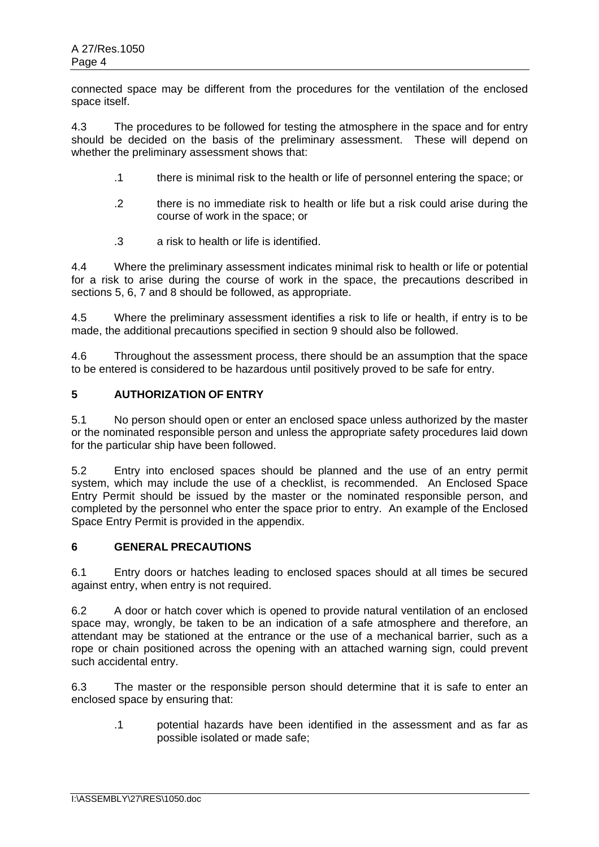connected space may be different from the procedures for the ventilation of the enclosed space itself.

4.3 The procedures to be followed for testing the atmosphere in the space and for entry should be decided on the basis of the preliminary assessment. These will depend on whether the preliminary assessment shows that:

- .1 there is minimal risk to the health or life of personnel entering the space; or
- .2 there is no immediate risk to health or life but a risk could arise during the course of work in the space; or
- .3 a risk to health or life is identified.

4.4 Where the preliminary assessment indicates minimal risk to health or life or potential for a risk to arise during the course of work in the space, the precautions described in sections 5, 6, 7 and 8 should be followed, as appropriate.

4.5 Where the preliminary assessment identifies a risk to life or health, if entry is to be made, the additional precautions specified in section 9 should also be followed.

4.6 Throughout the assessment process, there should be an assumption that the space to be entered is considered to be hazardous until positively proved to be safe for entry.

## **5 AUTHORIZATION OF ENTRY**

5.1 No person should open or enter an enclosed space unless authorized by the master or the nominated responsible person and unless the appropriate safety procedures laid down for the particular ship have been followed.

5.2 Entry into enclosed spaces should be planned and the use of an entry permit system, which may include the use of a checklist, is recommended. An Enclosed Space Entry Permit should be issued by the master or the nominated responsible person, and completed by the personnel who enter the space prior to entry. An example of the Enclosed Space Entry Permit is provided in the appendix.

## **6 GENERAL PRECAUTIONS**

6.1 Entry doors or hatches leading to enclosed spaces should at all times be secured against entry, when entry is not required.

6.2 A door or hatch cover which is opened to provide natural ventilation of an enclosed space may, wrongly, be taken to be an indication of a safe atmosphere and therefore, an attendant may be stationed at the entrance or the use of a mechanical barrier, such as a rope or chain positioned across the opening with an attached warning sign, could prevent such accidental entry.

6.3 The master or the responsible person should determine that it is safe to enter an enclosed space by ensuring that:

.1 potential hazards have been identified in the assessment and as far as possible isolated or made safe;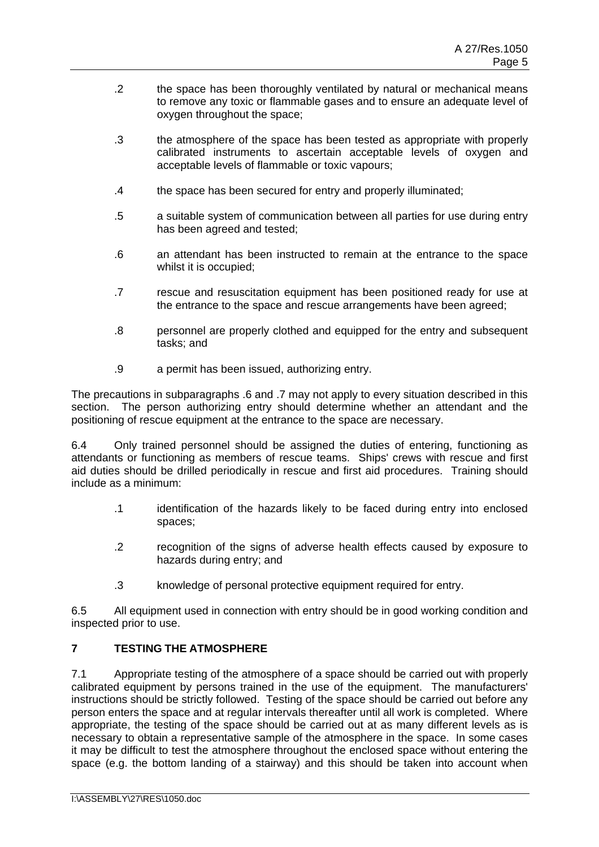- .2 the space has been thoroughly ventilated by natural or mechanical means to remove any toxic or flammable gases and to ensure an adequate level of oxygen throughout the space;
- .3 the atmosphere of the space has been tested as appropriate with properly calibrated instruments to ascertain acceptable levels of oxygen and acceptable levels of flammable or toxic vapours;
- .4 the space has been secured for entry and properly illuminated;
- .5 a suitable system of communication between all parties for use during entry has been agreed and tested;
- .6 an attendant has been instructed to remain at the entrance to the space whilst it is occupied;
- .7 rescue and resuscitation equipment has been positioned ready for use at the entrance to the space and rescue arrangements have been agreed;
- .8 personnel are properly clothed and equipped for the entry and subsequent tasks; and
- .9 a permit has been issued, authorizing entry.

The precautions in subparagraphs .6 and .7 may not apply to every situation described in this section. The person authorizing entry should determine whether an attendant and the positioning of rescue equipment at the entrance to the space are necessary.

6.4 Only trained personnel should be assigned the duties of entering, functioning as attendants or functioning as members of rescue teams. Ships' crews with rescue and first aid duties should be drilled periodically in rescue and first aid procedures. Training should include as a minimum:

- .1 identification of the hazards likely to be faced during entry into enclosed spaces;
- .2 recognition of the signs of adverse health effects caused by exposure to hazards during entry; and
- .3 knowledge of personal protective equipment required for entry.

6.5 All equipment used in connection with entry should be in good working condition and inspected prior to use.

# **7 TESTING THE ATMOSPHERE**

7.1 Appropriate testing of the atmosphere of a space should be carried out with properly calibrated equipment by persons trained in the use of the equipment. The manufacturers' instructions should be strictly followed. Testing of the space should be carried out before any person enters the space and at regular intervals thereafter until all work is completed. Where appropriate, the testing of the space should be carried out at as many different levels as is necessary to obtain a representative sample of the atmosphere in the space. In some cases it may be difficult to test the atmosphere throughout the enclosed space without entering the space (e.g. the bottom landing of a stairway) and this should be taken into account when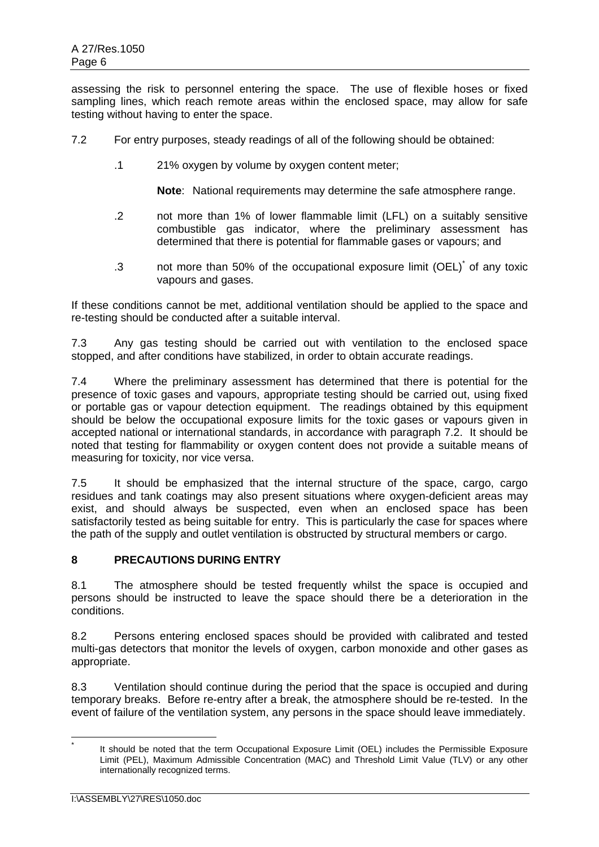assessing the risk to personnel entering the space. The use of flexible hoses or fixed sampling lines, which reach remote areas within the enclosed space, may allow for safe testing without having to enter the space.

- 7.2 For entry purposes, steady readings of all of the following should be obtained:
	- .1 21% oxygen by volume by oxygen content meter;

**Note**: National requirements may determine the safe atmosphere range.

- .2 not more than 1% of lower flammable limit (LFL) on a suitably sensitive combustible gas indicator, where the preliminary assessment has determined that there is potential for flammable gases or vapours; and
- .3 not more than 50% of the occupational exposure limit (OEL)<sup>\*</sup> of any toxic vapours and gases.

If these conditions cannot be met, additional ventilation should be applied to the space and re-testing should be conducted after a suitable interval.

7.3 Any gas testing should be carried out with ventilation to the enclosed space stopped, and after conditions have stabilized, in order to obtain accurate readings.

7.4 Where the preliminary assessment has determined that there is potential for the presence of toxic gases and vapours, appropriate testing should be carried out, using fixed or portable gas or vapour detection equipment. The readings obtained by this equipment should be below the occupational exposure limits for the toxic gases or vapours given in accepted national or international standards, in accordance with paragraph 7.2. It should be noted that testing for flammability or oxygen content does not provide a suitable means of measuring for toxicity, nor vice versa.

7.5 It should be emphasized that the internal structure of the space, cargo, cargo residues and tank coatings may also present situations where oxygen-deficient areas may exist, and should always be suspected, even when an enclosed space has been satisfactorily tested as being suitable for entry. This is particularly the case for spaces where the path of the supply and outlet ventilation is obstructed by structural members or cargo.

## **8 PRECAUTIONS DURING ENTRY**

8.1 The atmosphere should be tested frequently whilst the space is occupied and persons should be instructed to leave the space should there be a deterioration in the conditions.

8.2 Persons entering enclosed spaces should be provided with calibrated and tested multi-gas detectors that monitor the levels of oxygen, carbon monoxide and other gases as appropriate.

8.3 Ventilation should continue during the period that the space is occupied and during temporary breaks. Before re-entry after a break, the atmosphere should be re-tested. In the event of failure of the ventilation system, any persons in the space should leave immediately.

<sup>\*</sup> It should be noted that the term Occupational Exposure Limit (OEL) includes the Permissible Exposure Limit (PEL), Maximum Admissible Concentration (MAC) and Threshold Limit Value (TLV) or any other internationally recognized terms.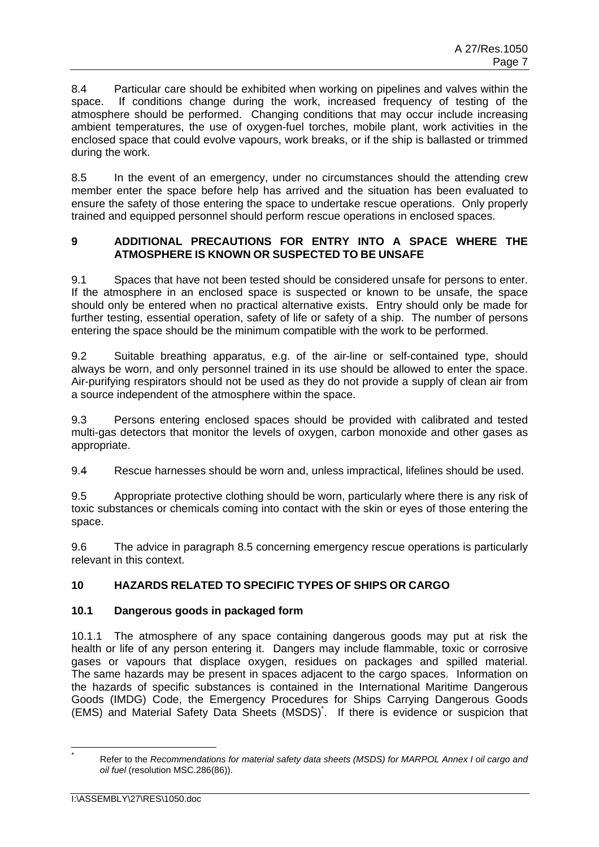8.4 Particular care should be exhibited when working on pipelines and valves within the space. If conditions change during the work, increased frequency of testing of the atmosphere should be performed. Changing conditions that may occur include increasing ambient temperatures, the use of oxygen-fuel torches, mobile plant, work activities in the enclosed space that could evolve vapours, work breaks, or if the ship is ballasted or trimmed during the work.

8.5 In the event of an emergency, under no circumstances should the attending crew member enter the space before help has arrived and the situation has been evaluated to ensure the safety of those entering the space to undertake rescue operations. Only properly trained and equipped personnel should perform rescue operations in enclosed spaces.

## **9 ADDITIONAL PRECAUTIONS FOR ENTRY INTO A SPACE WHERE THE ATMOSPHERE IS KNOWN OR SUSPECTED TO BE UNSAFE**

9.1 Spaces that have not been tested should be considered unsafe for persons to enter. If the atmosphere in an enclosed space is suspected or known to be unsafe, the space should only be entered when no practical alternative exists. Entry should only be made for further testing, essential operation, safety of life or safety of a ship. The number of persons entering the space should be the minimum compatible with the work to be performed.

9.2 Suitable breathing apparatus, e.g. of the air-line or self-contained type, should always be worn, and only personnel trained in its use should be allowed to enter the space. Air-purifying respirators should not be used as they do not provide a supply of clean air from a source independent of the atmosphere within the space.

9.3 Persons entering enclosed spaces should be provided with calibrated and tested multi-gas detectors that monitor the levels of oxygen, carbon monoxide and other gases as appropriate.

9.4 Rescue harnesses should be worn and, unless impractical, lifelines should be used.

9.5 Appropriate protective clothing should be worn, particularly where there is any risk of toxic substances or chemicals coming into contact with the skin or eyes of those entering the space.

9.6 The advice in paragraph 8.5 concerning emergency rescue operations is particularly relevant in this context.

# **10 HAZARDS RELATED TO SPECIFIC TYPES OF SHIPS OR CARGO**

# **10.1 Dangerous goods in packaged form**

10.1.1 The atmosphere of any space containing dangerous goods may put at risk the health or life of any person entering it. Dangers may include flammable, toxic or corrosive gases or vapours that displace oxygen, residues on packages and spilled material. The same hazards may be present in spaces adjacent to the cargo spaces. Information on the hazards of specific substances is contained in the International Maritime Dangerous Goods (IMDG) Code, the Emergency Procedures for Ships Carrying Dangerous Goods (EMS) and Material Safety Data Sheets (MSDS)\* . If there is evidence or suspicion that

 $\overline{a}$ \*

Refer to the *Recommendations for material safety data sheets (MSDS) for MARPOL Annex I oil cargo and oil fuel* (resolution MSC.286(86)).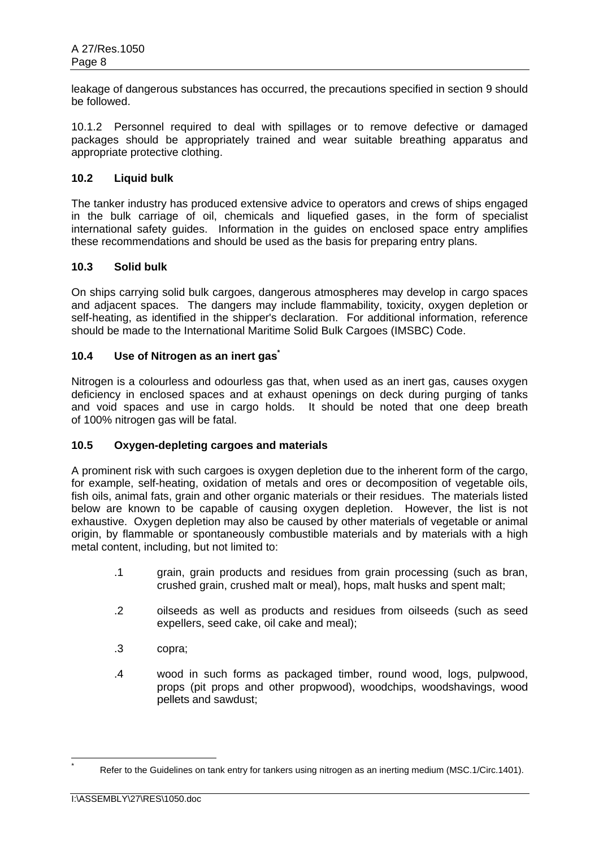leakage of dangerous substances has occurred, the precautions specified in section 9 should be followed.

10.1.2 Personnel required to deal with spillages or to remove defective or damaged packages should be appropriately trained and wear suitable breathing apparatus and appropriate protective clothing.

## **10.2 Liquid bulk**

The tanker industry has produced extensive advice to operators and crews of ships engaged in the bulk carriage of oil, chemicals and liquefied gases, in the form of specialist international safety guides. Information in the guides on enclosed space entry amplifies these recommendations and should be used as the basis for preparing entry plans.

## **10.3 Solid bulk**

On ships carrying solid bulk cargoes, dangerous atmospheres may develop in cargo spaces and adjacent spaces. The dangers may include flammability, toxicity, oxygen depletion or self-heating, as identified in the shipper's declaration. For additional information, reference should be made to the International Maritime Solid Bulk Cargoes (IMSBC) Code.

## **10.4 Use of Nitrogen as an inert gas\***

Nitrogen is a colourless and odourless gas that, when used as an inert gas, causes oxygen deficiency in enclosed spaces and at exhaust openings on deck during purging of tanks and void spaces and use in cargo holds. It should be noted that one deep breath of 100% nitrogen gas will be fatal.

## **10.5 Oxygen-depleting cargoes and materials**

A prominent risk with such cargoes is oxygen depletion due to the inherent form of the cargo, for example, self-heating, oxidation of metals and ores or decomposition of vegetable oils, fish oils, animal fats, grain and other organic materials or their residues. The materials listed below are known to be capable of causing oxygen depletion. However, the list is not exhaustive. Oxygen depletion may also be caused by other materials of vegetable or animal origin, by flammable or spontaneously combustible materials and by materials with a high metal content, including, but not limited to:

- .1 grain, grain products and residues from grain processing (such as bran, crushed grain, crushed malt or meal), hops, malt husks and spent malt;
- .2 oilseeds as well as products and residues from oilseeds (such as seed expellers, seed cake, oil cake and meal);
- .3 copra;
- .4 wood in such forms as packaged timber, round wood, logs, pulpwood, props (pit props and other propwood), woodchips, woodshavings, wood pellets and sawdust;

 \*

Refer to the Guidelines on tank entry for tankers using nitrogen as an inerting medium (MSC.1/Circ.1401).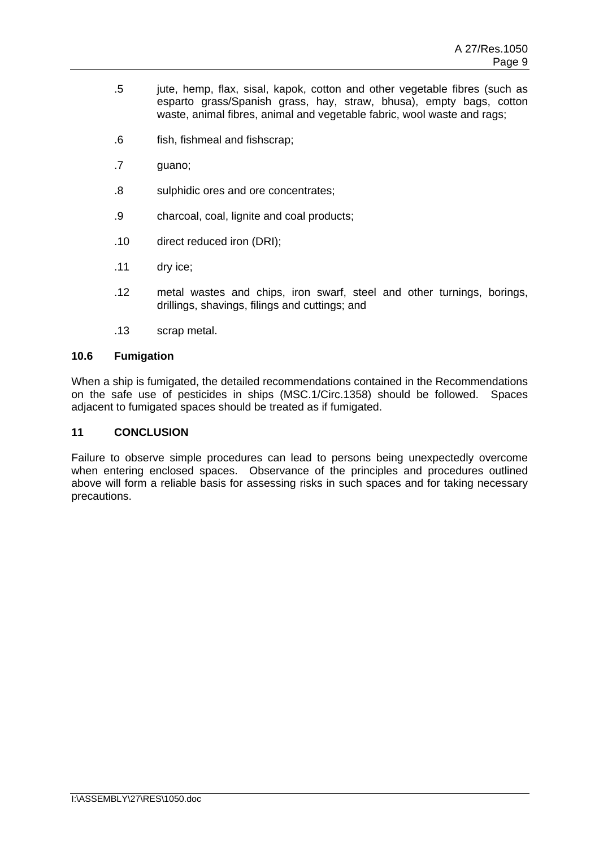- .5 jute, hemp, flax, sisal, kapok, cotton and other vegetable fibres (such as esparto grass/Spanish grass, hay, straw, bhusa), empty bags, cotton waste, animal fibres, animal and vegetable fabric, wool waste and rags;
- .6 fish, fishmeal and fishscrap;
- .7 guano;
- .8 sulphidic ores and ore concentrates;
- .9 charcoal, coal, lignite and coal products;
- .10 direct reduced iron (DRI);
- .11 dry ice;
- .12 metal wastes and chips, iron swarf, steel and other turnings, borings, drillings, shavings, filings and cuttings; and
- .13 scrap metal.

## **10.6 Fumigation**

When a ship is fumigated, the detailed recommendations contained in the Recommendations on the safe use of pesticides in ships (MSC.1/Circ.1358) should be followed. Spaces adjacent to fumigated spaces should be treated as if fumigated.

#### **11 CONCLUSION**

Failure to observe simple procedures can lead to persons being unexpectedly overcome when entering enclosed spaces. Observance of the principles and procedures outlined above will form a reliable basis for assessing risks in such spaces and for taking necessary precautions.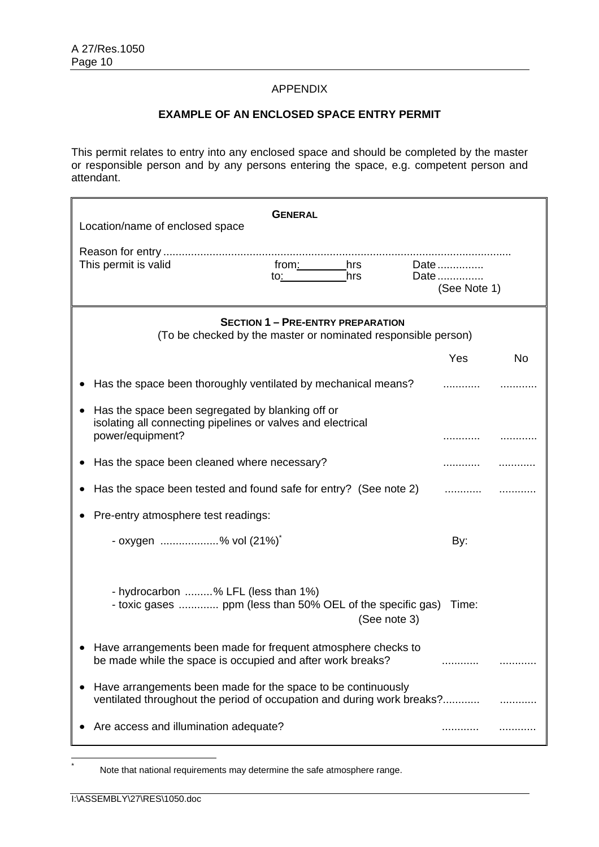### APPENDIX

### **EXAMPLE OF AN ENCLOSED SPACE ENTRY PERMIT**

This permit relates to entry into any enclosed space and should be completed by the master or responsible person and by any persons entering the space, e.g. competent person and attendant.

| Location/name of enclosed space                                                                                                        | <b>GENERAL</b>                                             |                       |           |
|----------------------------------------------------------------------------------------------------------------------------------------|------------------------------------------------------------|-----------------------|-----------|
|                                                                                                                                        |                                                            |                       |           |
| This permit is valid                                                                                                                   | from: hrs Date<br>hrs<br><u>to:___________</u>             | Date<br>(See Note 1)  |           |
| <b>SECTION 1 - PRE-ENTRY PREPARATION</b><br>(To be checked by the master or nominated responsible person)                              |                                                            |                       |           |
|                                                                                                                                        |                                                            | Yes                   | <b>No</b> |
| Has the space been thoroughly ventilated by mechanical means?                                                                          |                                                            |                       |           |
| Has the space been segregated by blanking off or<br>isolating all connecting pipelines or valves and electrical<br>power/equipment?    |                                                            |                       |           |
| Has the space been cleaned where necessary?                                                                                            |                                                            |                       |           |
| Has the space been tested and found safe for entry? (See note 2)<br>.                                                                  |                                                            |                       |           |
| Pre-entry atmosphere test readings:                                                                                                    |                                                            |                       |           |
| - oxygen % vol (21%)                                                                                                                   |                                                            | By:                   |           |
| - hydrocarbon % LFL (less than 1%)                                                                                                     | - toxic gases  ppm (less than 50% OEL of the specific gas) | Time:<br>(See note 3) |           |
| Have arrangements been made for frequent atmosphere checks to<br>be made while the space is occupied and after work breaks?            |                                                            |                       |           |
| Have arrangements been made for the space to be continuously<br>ventilated throughout the period of occupation and during work breaks? |                                                            |                       |           |
| Are access and illumination adequate?                                                                                                  |                                                            |                       |           |

 \*

Note that national requirements may determine the safe atmosphere range.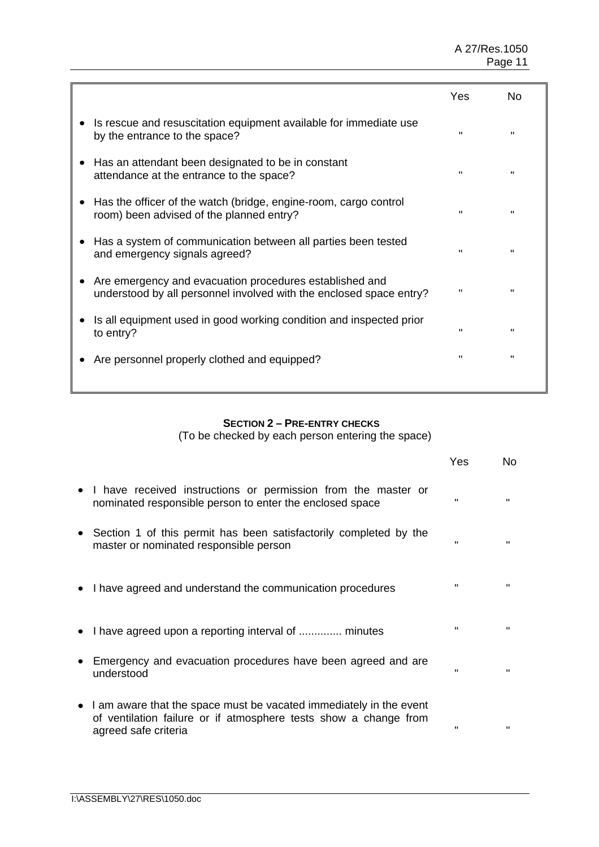|                                                                                                                                | Yes            | No           |
|--------------------------------------------------------------------------------------------------------------------------------|----------------|--------------|
| Is rescue and resuscitation equipment available for immediate use<br>by the entrance to the space?                             | $\mathbf{u}$   | $\mathbf{H}$ |
| Has an attendant been designated to be in constant<br>attendance at the entrance to the space?                                 | $\mathbf{H}$   | $\mathbf{H}$ |
| Has the officer of the watch (bridge, engine-room, cargo control<br>room) been advised of the planned entry?                   | $\mathbf{u}$   | $\mathbf{H}$ |
| Has a system of communication between all parties been tested<br>and emergency signals agreed?                                 | $\mathbf{H}$   | $\mathbf{H}$ |
| Are emergency and evacuation procedures established and<br>understood by all personnel involved with the enclosed space entry? | $\blacksquare$ | $\mathbf{u}$ |
| Is all equipment used in good working condition and inspected prior<br>to entry?                                               | $\mathbf{u}$   | $\mathbf{H}$ |
| Are personnel properly clothed and equipped?                                                                                   | "              | $\mathbf{H}$ |
|                                                                                                                                |                |              |

# **SECTION 2 – PRE-ENTRY CHECKS**

(To be checked by each person entering the space)

|           |                                                                                                                                                                  | Yes          | No           |
|-----------|------------------------------------------------------------------------------------------------------------------------------------------------------------------|--------------|--------------|
|           | • I have received instructions or permission from the master or<br>nominated responsible person to enter the enclosed space                                      | $\mathbf{H}$ | $\mathbf{u}$ |
| $\bullet$ | Section 1 of this permit has been satisfactorily completed by the<br>master or nominated responsible person                                                      | $\mathbf{H}$ |              |
|           | • I have agreed and understand the communication procedures                                                                                                      | "            | "            |
|           | I have agreed upon a reporting interval of  minutes                                                                                                              | $\mathbf{H}$ | $\mathbf{u}$ |
|           | • Emergency and evacuation procedures have been agreed and are<br>understood                                                                                     | $\mathbf{H}$ | $\mathbf{u}$ |
|           | • I am aware that the space must be vacated immediately in the event<br>of ventilation failure or if atmosphere tests show a change from<br>agreed safe criteria | "            |              |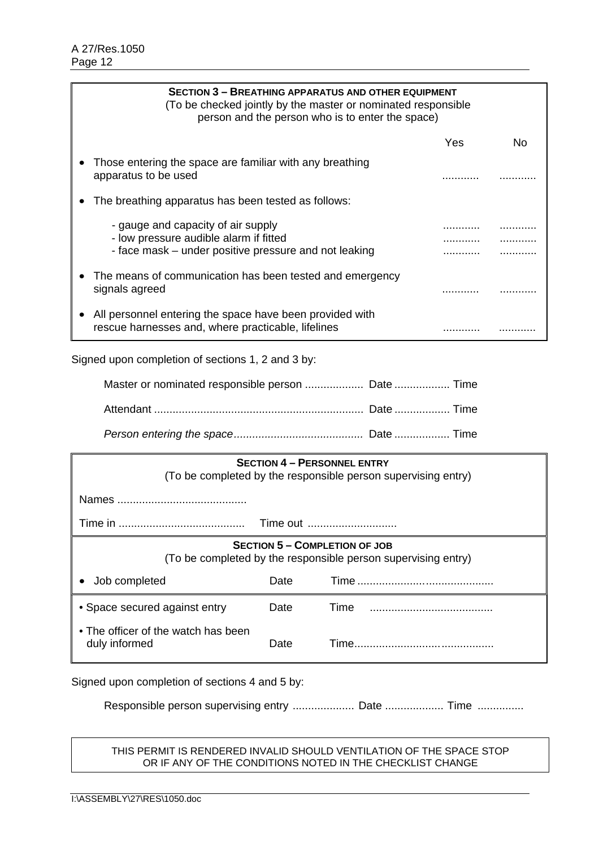| <b>SECTION 3 - BREATHING APPARATUS AND OTHER EQUIPMENT</b><br>(To be checked jointly by the master or nominated responsible<br>person and the person who is to enter the space) |            |    |
|---------------------------------------------------------------------------------------------------------------------------------------------------------------------------------|------------|----|
|                                                                                                                                                                                 | <b>Yes</b> | Nο |
| Those entering the space are familiar with any breathing<br>apparatus to be used                                                                                                |            |    |
| The breathing apparatus has been tested as follows:                                                                                                                             |            |    |
| - gauge and capacity of air supply<br>- low pressure audible alarm if fitted<br>- face mask – under positive pressure and not leaking                                           |            |    |
| The means of communication has been tested and emergency<br>signals agreed                                                                                                      |            |    |
| All personnel entering the space have been provided with<br>rescue harnesses and, where practicable, lifelines                                                                  |            |    |

Signed upon completion of sections 1, 2 and 3 by:

| Master or nominated responsible person  Date  Time |  |
|----------------------------------------------------|--|
|                                                    |  |
|                                                    |  |

| <b>SECTION 4 - PERSONNEL ENTRY</b><br>(To be completed by the responsible person supervising entry)   |      |       |  |
|-------------------------------------------------------------------------------------------------------|------|-------|--|
|                                                                                                       |      |       |  |
| Time out                                                                                              |      |       |  |
| <b>SECTION 5 - COMPLETION OF JOB</b><br>(To be completed by the responsible person supervising entry) |      |       |  |
| Job completed                                                                                         | Date |       |  |
| • Space secured against entry                                                                         | Date | Time  |  |
| • The officer of the watch has been<br>duly informed                                                  | Date | Time. |  |

Signed upon completion of sections 4 and 5 by:

Responsible person supervising entry ..................... Date .................. Time ................

### THIS PERMIT IS RENDERED INVALID SHOULD VENTILATION OF THE SPACE STOP OR IF ANY OF THE CONDITIONS NOTED IN THE CHECKLIST CHANGE